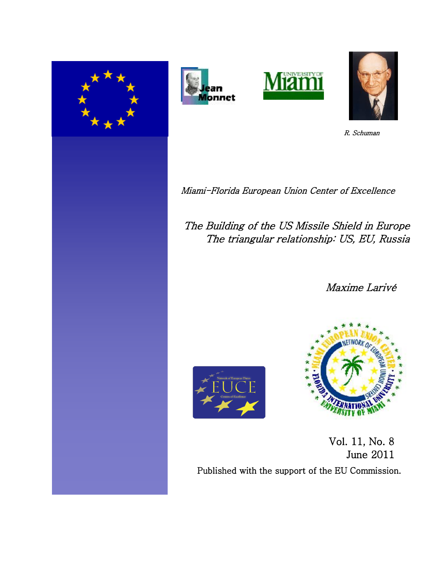







R. Schuman

Miami-Florida European Union Center of Excellence

The Building of the US Missile Shield in Europe The triangular relationship: US, EU, Russia

Maxime Larivé





 Vol. 11, No. 8 June 2011 Published with the support of the EU Commission.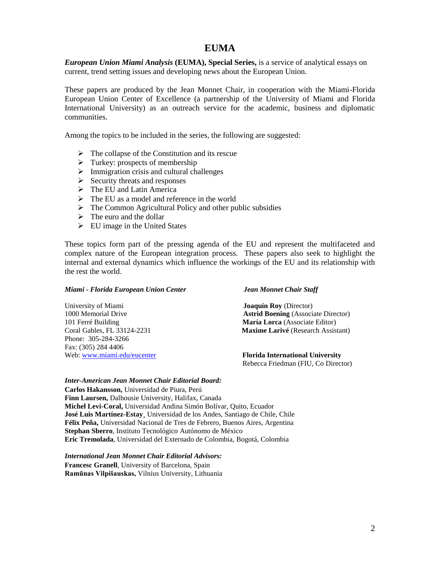# **EUMA**

*European Union Miami Analysis* **(EUMA), Special Series,** is a service of analytical essays on current, trend setting issues and developing news about the European Union.

These papers are produced by the Jean Monnet Chair, in cooperation with the Miami-Florida European Union Center of Excellence (a partnership of the University of Miami and Florida International University) as an outreach service for the academic, business and diplomatic communities.

Among the topics to be included in the series, the following are suggested:

- $\triangleright$  The collapse of the Constitution and its rescue
- $\triangleright$  Turkey: prospects of membership
- $\triangleright$  Immigration crisis and cultural challenges
- $\triangleright$  Security threats and responses
- > The EU and Latin America
- $\triangleright$  The EU as a model and reference in the world
- $\triangleright$  The Common Agricultural Policy and other public subsidies
- $\triangleright$  The euro and the dollar
- $\triangleright$  EU image in the United States

These topics form part of the pressing agenda of the EU and represent the multifaceted and complex nature of the European integration process. These papers also seek to highlight the internal and external dynamics which influence the workings of the EU and its relationship with the rest the world.

#### *Miami - Florida European Union Center Jean Monnet Chair Staff*

101 Ferré Building **María Lorca** (Associate Editor) Phone: 305-284-3266 Fax: (305) 284 4406 Web: [www.miami.edu/eucenter](http://www.miami.edu/eucenter) **Florida International University**

University of Miami **Joaquín Roy** (Director) 1000 Memorial Drive **Astrid Boening** (Associate Director) Coral Gables, FL 33124-2231 **Maxime Larivé** (Research Assistant)

Rebecca Friedman (FIU, Co Director)

#### *Inter-American Jean Monnet Chair Editorial Board:*

**Carlos Hakansson,** Universidad de Piura, Perú **Finn Laursen,** Dalhousie University, Halifax, Canada **Michel Levi-Coral,** Universidad Andina Simón Bolívar, Quito, Ecuador **José Luis Martínez-Estay¸** Universidad de los Andes, Santiago de Chile, Chile **Félix Peña,** Universidad Nacional de Tres de Febrero, Buenos Aires, Argentina **Stephan Sberro**, Instituto Tecnológico Autónomo de México **Eric Tremolada**, Universidad del Externado de Colombia, Bogotá, Colombia

## *International Jean Monnet Chair Editorial Advisors:*

**Francesc Granell**, University of Barcelona, Spain **Ramūnas Vilpišauskas,** Vilnius University, Lithuania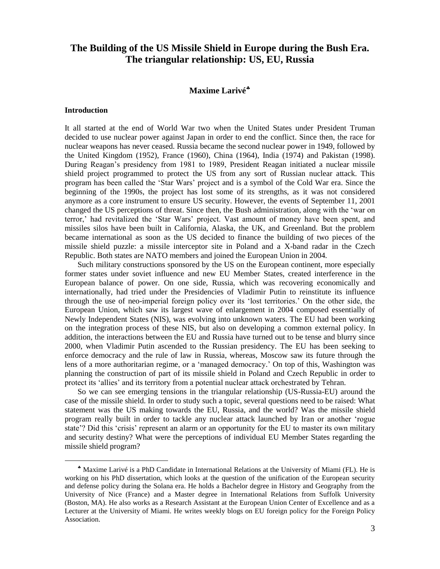# **The Building of the US Missile Shield in Europe during the Bush Era. The triangular relationship: US, EU, Russia**

# **Maxime Larivé**

#### **Introduction**

 $\overline{a}$ 

It all started at the end of World War two when the United States under President Truman decided to use nuclear power against Japan in order to end the conflict. Since then, the race for nuclear weapons has never ceased. Russia became the second nuclear power in 1949, followed by the United Kingdom (1952), France (1960), China (1964), India (1974) and Pakistan (1998). During Reagan"s presidency from 1981 to 1989, President Reagan initiated a nuclear missile shield project programmed to protect the US from any sort of Russian nuclear attack. This program has been called the "Star Wars" project and is a symbol of the Cold War era. Since the beginning of the 1990s, the project has lost some of its strengths, as it was not considered anymore as a core instrument to ensure US security. However, the events of September 11, 2001 changed the US perceptions of threat. Since then, the Bush administration, along with the "war on terror," had revitalized the "Star Wars" project. Vast amount of money have been spent, and missiles silos have been built in California, Alaska, the UK, and Greenland. But the problem became international as soon as the US decided to finance the building of two pieces of the missile shield puzzle: a missile interceptor site in Poland and a X-band radar in the Czech Republic. Both states are NATO members and joined the European Union in 2004.

Such military constructions sponsored by the US on the European continent, more especially former states under soviet influence and new EU Member States, created interference in the European balance of power. On one side, Russia, which was recovering economically and internationally, had tried under the Presidencies of Vladimir Putin to reinstitute its influence through the use of neo-imperial foreign policy over its "lost territories." On the other side, the European Union, which saw its largest wave of enlargement in 2004 composed essentially of Newly Independent States (NIS), was evolving into unknown waters. The EU had been working on the integration process of these NIS, but also on developing a common external policy. In addition, the interactions between the EU and Russia have turned out to be tense and blurry since 2000, when Vladimir Putin ascended to the Russian presidency. The EU has been seeking to enforce democracy and the rule of law in Russia, whereas, Moscow saw its future through the lens of a more authoritarian regime, or a "managed democracy." On top of this, Washington was planning the construction of part of its missile shield in Poland and Czech Republic in order to protect its "allies" and its territory from a potential nuclear attack orchestrated by Tehran.

So we can see emerging tensions in the triangular relationship (US-Russia-EU) around the case of the missile shield. In order to study such a topic, several questions need to be raised: What statement was the US making towards the EU, Russia, and the world? Was the missile shield program really built in order to tackle any nuclear attack launched by Iran or another "rogue state'? Did this 'crisis' represent an alarm or an opportunity for the EU to master its own military and security destiny? What were the perceptions of individual EU Member States regarding the missile shield program?

Maxime Larivé is a PhD Candidate in International Relations at the University of Miami (FL). He is working on his PhD dissertation, which looks at the question of the unification of the European security and defense policy during the Solana era. He holds a Bachelor degree in History and Geography from the University of Nice (France) and a Master degree in International Relations from Suffolk University (Boston, MA). He also works as a Research Assistant at the European Union Center of Excellence and as a Lecturer at the University of Miami. He writes weekly blogs on EU foreign policy for the Foreign Policy Association.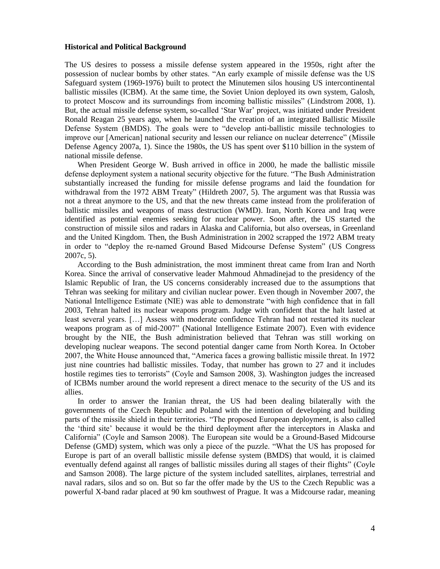#### **Historical and Political Background**

The US desires to possess a missile defense system appeared in the 1950s, right after the possession of nuclear bombs by other states. "An early example of missile defense was the US Safeguard system (1969-1976) built to protect the Minutemen silos housing US intercontinental ballistic missiles (ICBM). At the same time, the Soviet Union deployed its own system, Galosh, to protect Moscow and its surroundings from incoming ballistic missiles" (Lindstrom 2008, 1). But, the actual missile defense system, so-called "Star War" project, was initiated under President Ronald Reagan 25 years ago, when he launched the creation of an integrated Ballistic Missile Defense System (BMDS). The goals were to "develop anti-ballistic missile technologies to improve our [American] national security and lessen our reliance on nuclear deterrence" (Missile Defense Agency 2007a, 1). Since the 1980s, the US has spent over \$110 billion in the system of national missile defense.

When President George W. Bush arrived in office in 2000, he made the ballistic missile defense deployment system a national security objective for the future. "The Bush Administration substantially increased the funding for missile defense programs and laid the foundation for withdrawal from the 1972 ABM Treaty" (Hildreth 2007, 5). The argument was that Russia was not a threat anymore to the US, and that the new threats came instead from the proliferation of ballistic missiles and weapons of mass destruction (WMD). Iran, North Korea and Iraq were identified as potential enemies seeking for nuclear power. Soon after, the US started the construction of missile silos and radars in Alaska and California, but also overseas, in Greenland and the United Kingdom. Then, the Bush Administration in 2002 scrapped the 1972 ABM treaty in order to "deploy the re-named Ground Based Midcourse Defense System" (US Congress 2007c, 5).

According to the Bush administration, the most imminent threat came from Iran and North Korea. Since the arrival of conservative leader Mahmoud Ahmadinejad to the presidency of the Islamic Republic of Iran, the US concerns considerably increased due to the assumptions that Tehran was seeking for military and civilian nuclear power. Even though in November 2007, the National Intelligence Estimate (NIE) was able to demonstrate "with high confidence that in fall 2003, Tehran halted its nuclear weapons program. Judge with confident that the halt lasted at least several years. […] Assess with moderate confidence Tehran had not restarted its nuclear weapons program as of mid-2007" (National Intelligence Estimate 2007). Even with evidence brought by the NIE, the Bush administration believed that Tehran was still working on developing nuclear weapons. The second potential danger came from North Korea. In October 2007, the White House announced that, "America faces a growing ballistic missile threat. In 1972 just nine countries had ballistic missiles. Today, that number has grown to 27 and it includes hostile regimes ties to terrorists" (Coyle and Samson 2008, 3). Washington judges the increased of ICBMs number around the world represent a direct menace to the security of the US and its allies.

In order to answer the Iranian threat, the US had been dealing bilaterally with the governments of the Czech Republic and Poland with the intention of developing and building parts of the missile shield in their territories. "The proposed European deployment, is also called the "third site" because it would be the third deployment after the interceptors in Alaska and California" (Coyle and Samson 2008). The European site would be a Ground-Based Midcourse Defense (GMD) system, which was only a piece of the puzzle. "What the US has proposed for Europe is part of an overall ballistic missile defense system (BMDS) that would, it is claimed eventually defend against all ranges of ballistic missiles during all stages of their flights" (Coyle and Samson 2008). The large picture of the system included satellites, airplanes, terrestrial and naval radars, silos and so on. But so far the offer made by the US to the Czech Republic was a powerful X-band radar placed at 90 km southwest of Prague. It was a Midcourse radar, meaning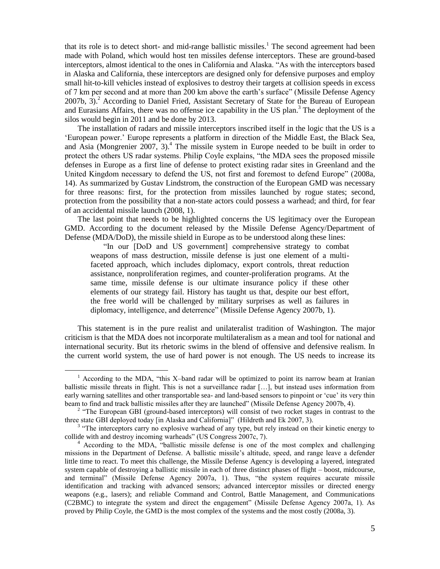that its role is to detect short- and mid-range ballistic missiles.<sup>1</sup> The second agreement had been made with Poland, which would host ten missiles defense interceptors. These are ground-based interceptors, almost identical to the ones in California and Alaska. "As with the interceptors based in Alaska and California, these interceptors are designed only for defensive purposes and employ small hit-to-kill vehicles instead of explosives to destroy their targets at collision speeds in excess of 7 km per second and at more than 200 km above the earth"s surface" (Missile Defense Agency  $2007b$ ,  $3$ ).<sup>2</sup> According to Daniel Fried, Assistant Secretary of State for the Bureau of European and Eurasians Affairs, there was no offense ice capability in the US plan.<sup>3</sup> The deployment of the silos would begin in 2011 and be done by 2013.

The installation of radars and missile interceptors inscribed itself in the logic that the US is a "European power." Europe represents a platform in direction of the Middle East, the Black Sea, and Asia (Mongrenier  $2007$ , 3).<sup>4</sup> The missile system in Europe needed to be built in order to protect the others US radar systems. Philip Coyle explains, "the MDA sees the proposed missile defenses in Europe as a first line of defense to protect existing radar sites in Greenland and the United Kingdom necessary to defend the US, not first and foremost to defend Europe" (2008a, 14). As summarized by Gustav Lindstrom, the construction of the European GMD was necessary for three reasons: first, for the protection from missiles launched by rogue states; second, protection from the possibility that a non-state actors could possess a warhead; and third, for fear of an accidental missile launch (2008, 1).

The last point that needs to be highlighted concerns the US legitimacy over the European GMD. According to the document released by the Missile Defense Agency/Department of Defense (MDA/DoD), the missile shield in Europe as to be understood along these lines:

"In our [DoD and US government] comprehensive strategy to combat weapons of mass destruction, missile defense is just one element of a multifaceted approach, which includes diplomacy, export controls, threat reduction assistance, nonproliferation regimes, and counter-proliferation programs. At the same time, missile defense is our ultimate insurance policy if these other elements of our strategy fail. History has taught us that, despite our best effort, the free world will be challenged by military surprises as well as failures in diplomacy, intelligence, and deterrence" (Missile Defense Agency 2007b, 1).

This statement is in the pure realist and unilateralist tradition of Washington. The major criticism is that the MDA does not incorporate multilateralism as a mean and tool for national and international security. But its rhetoric swims in the blend of offensive and defensive realism. In the current world system, the use of hard power is not enough. The US needs to increase its

 $\overline{a}$ 

<sup>&</sup>lt;sup>1</sup> According to the MDA, "this X-band radar will be optimized to point its narrow beam at Iranian ballistic missile threats in flight. This is not a surveillance radar […], but instead uses information from early warning satellites and other transportable sea- and land-based sensors to pinpoint or 'cue' its very thin beam to find and track ballistic missiles after they are launched" (Missile Defense Agency 2007b, 4).

<sup>&</sup>lt;sup>2</sup> "The European GBI (ground-based interceptors) will consist of two rocket stages in contrast to the three state GBI deployed today [in Alaska and California]" (Hildreth and Ek 2007, 3).

<sup>&</sup>lt;sup>3</sup> "The interceptors carry no explosive warhead of any type, but rely instead on their kinetic energy to collide with and destroy incoming warheads" (US Congress 2007c, 7).

<sup>&</sup>lt;sup>4</sup> According to the MDA, "ballistic missile defense is one of the most complex and challenging missions in the Department of Defense. A ballistic missile"s altitude, speed, and range leave a defender little time to react. To meet this challenge, the Missile Defense Agency is developing a layered, integrated system capable of destroying a ballistic missile in each of three distinct phases of flight – boost, midcourse, and terminal" (Missile Defense Agency 2007a, 1). Thus, "the system requires accurate missile identification and tracking with advanced sensors; advanced interceptor missiles or directed energy weapons (e.g., lasers); and reliable Command and Control, Battle Management, and Communications (C2BMC) to integrate the system and direct the engagement" (Missile Defense Agency 2007a, 1). As proved by Philip Coyle, the GMD is the most complex of the systems and the most costly (2008a, 3).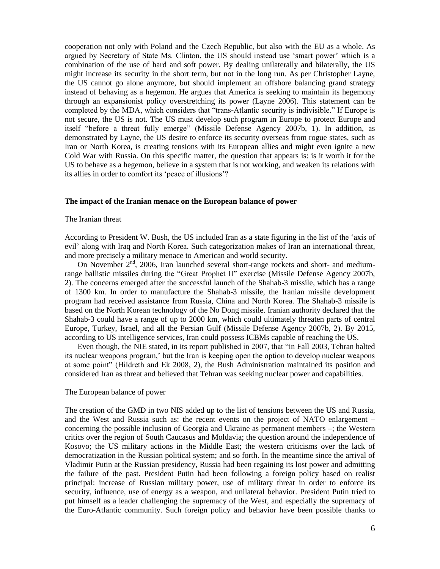cooperation not only with Poland and the Czech Republic, but also with the EU as a whole. As argued by Secretary of State Ms. Clinton, the US should instead use "smart power" which is a combination of the use of hard and soft power. By dealing unilaterally and bilaterally, the US might increase its security in the short term, but not in the long run. As per Christopher Layne, the US cannot go alone anymore, but should implement an offshore balancing grand strategy instead of behaving as a hegemon. He argues that America is seeking to maintain its hegemony through an expansionist policy overstretching its power (Layne 2006). This statement can be completed by the MDA, which considers that "trans-Atlantic security is indivisible." If Europe is not secure, the US is not. The US must develop such program in Europe to protect Europe and itself "before a threat fully emerge" (Missile Defense Agency 2007b, 1). In addition, as demonstrated by Layne, the US desire to enforce its security overseas from rogue states, such as Iran or North Korea, is creating tensions with its European allies and might even ignite a new Cold War with Russia. On this specific matter, the question that appears is: is it worth it for the US to behave as a hegemon, believe in a system that is not working, and weaken its relations with its allies in order to comfort its "peace of illusions"?

#### **The impact of the Iranian menace on the European balance of power**

#### The Iranian threat

According to President W. Bush, the US included Iran as a state figuring in the list of the "axis of evil" along with Iraq and North Korea. Such categorization makes of Iran an international threat, and more precisely a military menace to American and world security.

On November 2<sup>nd</sup>, 2006, Iran launched several short-range rockets and short- and mediumrange ballistic missiles during the "Great Prophet II" exercise (Missile Defense Agency 2007b, 2). The concerns emerged after the successful launch of the Shahab-3 missile, which has a range of 1300 km. In order to manufacture the Shahab-3 missile, the Iranian missile development program had received assistance from Russia, China and North Korea. The Shahab-3 missile is based on the North Korean technology of the No Dong missile. Iranian authority declared that the Shahab-3 could have a range of up to 2000 km, which could ultimately threaten parts of central Europe, Turkey, Israel, and all the Persian Gulf (Missile Defense Agency 2007b, 2). By 2015, according to US intelligence services, Iran could possess ICBMs capable of reaching the US.

Even though, the NIE stated, in its report published in 2007, that "in Fall 2003, Tehran halted its nuclear weapons program,' but the Iran is keeping open the option to develop nuclear weapons at some point" (Hildreth and Ek 2008, 2), the Bush Administration maintained its position and considered Iran as threat and believed that Tehran was seeking nuclear power and capabilities.

#### The European balance of power

The creation of the GMD in two NIS added up to the list of tensions between the US and Russia, and the West and Russia such as: the recent events on the project of NATO enlargement – concerning the possible inclusion of Georgia and Ukraine as permanent members –; the Western critics over the region of South Caucasus and Moldavia; the question around the independence of Kosovo; the US military actions in the Middle East; the western criticisms over the lack of democratization in the Russian political system; and so forth. In the meantime since the arrival of Vladimir Putin at the Russian presidency, Russia had been regaining its lost power and admitting the failure of the past. President Putin had been following a foreign policy based on realist principal: increase of Russian military power, use of military threat in order to enforce its security, influence, use of energy as a weapon, and unilateral behavior. President Putin tried to put himself as a leader challenging the supremacy of the West, and especially the supremacy of the Euro-Atlantic community. Such foreign policy and behavior have been possible thanks to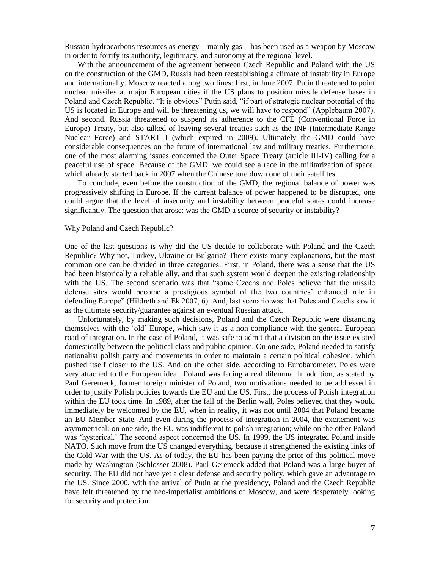Russian hydrocarbons resources as energy – mainly gas – has been used as a weapon by Moscow in order to fortify its authority, legitimacy, and autonomy at the regional level.

With the announcement of the agreement between Czech Republic and Poland with the US on the construction of the GMD, Russia had been reestablishing a climate of instability in Europe and internationally. Moscow reacted along two lines: first, in June 2007, Putin threatened to point nuclear missiles at major European cities if the US plans to position missile defense bases in Poland and Czech Republic. "It is obvious" Putin said, "if part of strategic nuclear potential of the US is located in Europe and will be threatening us, we will have to respond" (Applebaum 2007). And second, Russia threatened to suspend its adherence to the CFE (Conventional Force in Europe) Treaty, but also talked of leaving several treaties such as the INF (Intermediate-Range Nuclear Force) and START I (which expired in 2009). Ultimately the GMD could have considerable consequences on the future of international law and military treaties. Furthermore, one of the most alarming issues concerned the Outer Space Treaty (article III-IV) calling for a peaceful use of space. Because of the GMD, we could see a race in the militarization of space, which already started back in 2007 when the Chinese tore down one of their satellites.

To conclude, even before the construction of the GMD, the regional balance of power was progressively shifting in Europe. If the current balance of power happened to be disrupted, one could argue that the level of insecurity and instability between peaceful states could increase significantly. The question that arose: was the GMD a source of security or instability?

#### Why Poland and Czech Republic?

One of the last questions is why did the US decide to collaborate with Poland and the Czech Republic? Why not, Turkey, Ukraine or Bulgaria? There exists many explanations, but the most common one can be divided in three categories. First, in Poland, there was a sense that the US had been historically a reliable ally, and that such system would deepen the existing relationship with the US. The second scenario was that "some Czechs and Poles believe that the missile defense sites would become a prestigious symbol of the two countries" enhanced role in defending Europe" (Hildreth and Ek 2007, 6). And, last scenario was that Poles and Czechs saw it as the ultimate security/guarantee against an eventual Russian attack.

Unfortunately, by making such decisions, Poland and the Czech Republic were distancing themselves with the "old" Europe, which saw it as a non-compliance with the general European road of integration. In the case of Poland, it was safe to admit that a division on the issue existed domestically between the political class and public opinion. On one side, Poland needed to satisfy nationalist polish party and movements in order to maintain a certain political cohesion, which pushed itself closer to the US. And on the other side, according to Eurobarometer, Poles were very attached to the European ideal. Poland was facing a real dilemma. In addition, as stated by Paul Geremeck, former foreign minister of Poland, two motivations needed to be addressed in order to justify Polish policies towards the EU and the US. First, the process of Polish integration within the EU took time. In 1989, after the fall of the Berlin wall, Poles believed that they would immediately be welcomed by the EU, when in reality, it was not until 2004 that Poland became an EU Member State. And even during the process of integration in 2004, the excitement was asymmetrical: on one side, the EU was indifferent to polish integration; while on the other Poland was "hysterical." The second aspect concerned the US. In 1999, the US integrated Poland inside NATO. Such move from the US changed everything, because it strengthened the existing links of the Cold War with the US. As of today, the EU has been paying the price of this political move made by Washington (Schlosser 2008). Paul Geremeck added that Poland was a large buyer of security. The EU did not have yet a clear defense and security policy, which gave an advantage to the US. Since 2000, with the arrival of Putin at the presidency, Poland and the Czech Republic have felt threatened by the neo-imperialist ambitions of Moscow, and were desperately looking for security and protection.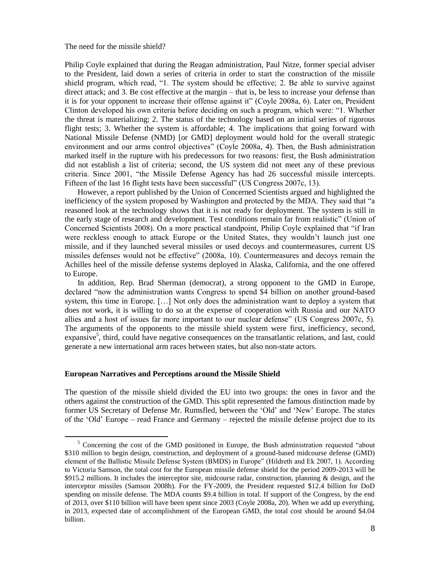The need for the missile shield?

Philip Coyle explained that during the Reagan administration, Paul Nitze, former special adviser to the President, laid down a series of criteria in order to start the construction of the missile shield program, which read, "1. The system should be effective; 2. Be able to survive against direct attack; and 3. Be cost effective at the margin – that is, be less to increase your defense than it is for your opponent to increase their offense against it" (Coyle 2008a, 6). Later on, President Clinton developed his own criteria before deciding on such a program, which were: "1. Whether the threat is materializing; 2. The status of the technology based on an initial series of rigorous flight tests; 3. Whether the system is affordable; 4. The implications that going forward with National Missile Defense (NMD) [or GMD] deployment would hold for the overall strategic environment and our arms control objectives" (Coyle 2008a, 4). Then, the Bush administration marked itself in the rupture with his predecessors for two reasons: first, the Bush administration did not establish a list of criteria; second, the US system did not meet any of these previous criteria. Since 2001, "the Missile Defense Agency has had 26 successful missile intercepts. Fifteen of the last 16 flight tests have been successful" (US Congress 2007c, 13).

However, a report published by the Union of Concerned Scientists argued and highlighted the inefficiency of the system proposed by Washington and protected by the MDA. They said that "a reasoned look at the technology shows that it is not ready for deployment. The system is still in the early stage of research and development. Test conditions remain far from realistic" (Union of Concerned Scientists 2008). On a more practical standpoint, Philip Coyle explained that "if Iran were reckless enough to attack Europe or the United States, they wouldn"t launch just one missile, and if they launched several missiles or used decoys and countermeasures, current US missiles defenses would not be effective" (2008a, 10). Countermeasures and decoys remain the Achilles heel of the missile defense systems deployed in Alaska, California, and the one offered to Europe.

In addition, Rep. Brad Sherman (democrat), a strong opponent to the GMD in Europe, declared "now the administration wants Congress to spend \$4 billion on another ground-based system, this time in Europe. […] Not only does the administration want to deploy a system that does not work, it is willing to do so at the expense of cooperation with Russia and our NATO allies and a host of issues far more important to our nuclear defense" (US Congress 2007c, 5). The arguments of the opponents to the missile shield system were first, inefficiency, second, expansive<sup>5</sup>, third, could have negative consequences on the transatlantic relations, and last, could generate a new international arm races between states, but also non-state actors.

#### **European Narratives and Perceptions around the Missile Shield**

 $\overline{a}$ 

The question of the missile shield divided the EU into two groups: the ones in favor and the others against the construction of the GMD. This split represented the famous distinction made by former US Secretary of Defense Mr. Rumsfled, between the "Old" and "New" Europe. The states of the "Old" Europe – read France and Germany – rejected the missile defense project due to its

 $<sup>5</sup>$  Concerning the cost of the GMD positioned in Europe, the Bush administration requested "about</sup> \$310 million to begin design, construction, and deployment of a ground-based midcourse defense (GMD) element of the Ballistic Missile Defense System (BMDS) in Europe" (Hildreth and Ek 2007, 1). According to Victoria Samson, the total cost for the European missile defense shield for the period 2009-2013 will be \$915.2 millions. It includes the interceptor site, midcourse radar, construction, planning & design, and the interceptor missiles (Samson 2008b). For the FY-2009, the President requested \$12.4 billion for DoD spending on missile defense. The MDA counts \$9.4 billion in total. If support of the Congress, by the end of 2013, over \$110 billion will have been spent since 2003 (Coyle 2008a, 20). When we add up everything, in 2013, expected date of accomplishment of the European GMD, the total cost should be around \$4.04 billion.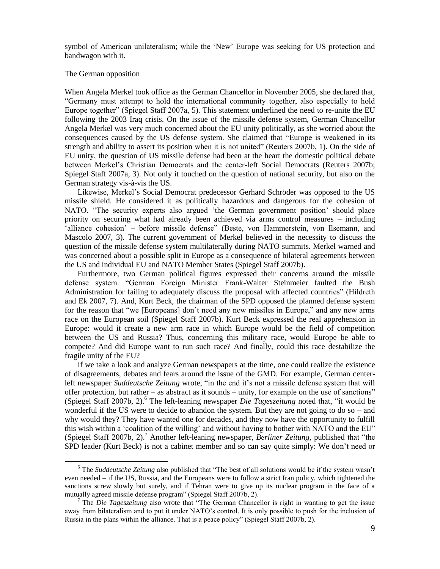symbol of American unilateralism; while the "New" Europe was seeking for US protection and bandwagon with it.

## The German opposition

 $\overline{a}$ 

When Angela Merkel took office as the German Chancellor in November 2005, she declared that, "Germany must attempt to hold the international community together, also especially to hold Europe together" (Spiegel Staff 2007a, 5). This statement underlined the need to re-unite the EU following the 2003 Iraq crisis. On the issue of the missile defense system, German Chancellor Angela Merkel was very much concerned about the EU unity politically, as she worried about the consequences caused by the US defense system. She claimed that "Europe is weakened in its strength and ability to assert its position when it is not united" (Reuters 2007b, 1). On the side of EU unity, the question of US missile defense had been at the heart the domestic political debate between Merkel"s Christian Democrats and the center-left Social Democrats (Reuters 2007b; Spiegel Staff 2007a, 3). Not only it touched on the question of national security, but also on the German strategy vis-à-vis the US.

Likewise, Merkel"s Social Democrat predecessor Gerhard Schröder was opposed to the US missile shield. He considered it as politically hazardous and dangerous for the cohesion of NATO. "The security experts also argued "the German government position" should place priority on securing what had already been achieved via arms control measures – including 'alliance cohesion' – before missile defense" (Beste, von Hammerstein, von Ilsemann, and Mascolo 2007, 3). The current government of Merkel believed in the necessity to discuss the question of the missile defense system multilaterally during NATO summits. Merkel warned and was concerned about a possible split in Europe as a consequence of bilateral agreements between the US and individual EU and NATO Member States (Spiegel Staff 2007b).

Furthermore, two German political figures expressed their concerns around the missile defense system. "German Foreign Minister Frank-Walter Steinmeier faulted the Bush Administration for failing to adequately discuss the proposal with affected countries" (Hildreth and Ek 2007, 7). And, Kurt Beck, the chairman of the SPD opposed the planned defense system for the reason that "we [Europeans] don"t need any new missiles in Europe," and any new arms race on the European soil (Spiegel Staff 2007b). Kurt Beck expressed the real apprehension in Europe: would it create a new arm race in which Europe would be the field of competition between the US and Russia? Thus, concerning this military race, would Europe be able to compete? And did Europe want to run such race? And finally, could this race destabilize the fragile unity of the EU?

If we take a look and analyze German newspapers at the time, one could realize the existence of disagreements, debates and fears around the issue of the GMD. For example, German centerleft newspaper *Suddeutsche Zeitung* wrote, "in the end it's not a missile defense system that will offer protection, but rather – as abstract as it sounds – unity, for example on the use of sanctions" (Spiegel Staff 2007b, 2).<sup>6</sup> The left-leaning newspaper *Die Tageszeitung* noted that, "it would be wonderful if the US were to decide to abandon the system. But they are not going to do so – and why would they? They have wanted one for decades, and they now have the opportunity to fulfill this wish within a "coalition of the willing" and without having to bother with NATO and the EU" (Spiegel Staff 2007b, 2).<sup>7</sup> Another left-leaning newspaper, *Berliner Zeitung*, published that "the SPD leader (Kurt Beck) is not a cabinet member and so can say quite simply: We don't need or

<sup>6</sup> The *Suddeutsche Zeitung* also published that "The best of all solutions would be if the system wasn"t even needed – if the US, Russia, and the Europeans were to follow a strict Iran policy, which tightened the sanctions screw slowly but surely, and if Tehran were to give up its nuclear program in the face of a mutually agreed missile defense program" (Spiegel Staff 2007b, 2).

<sup>7</sup> The *Die Tageszeitung* also wrote that "The German Chancellor is right in wanting to get the issue away from bilateralism and to put it under NATO"s control. It is only possible to push for the inclusion of Russia in the plans within the alliance. That is a peace policy" (Spiegel Staff 2007b, 2).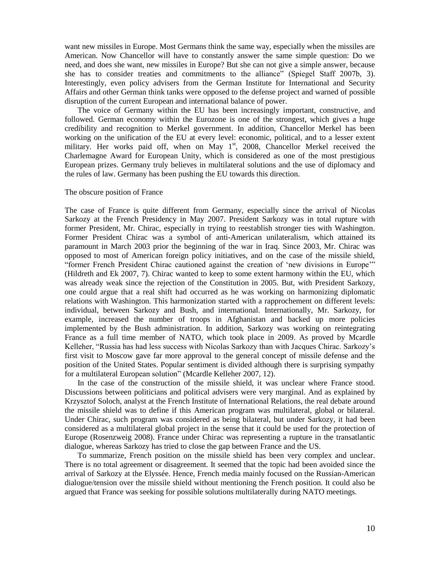want new missiles in Europe. Most Germans think the same way, especially when the missiles are American. Now Chancellor will have to constantly answer the same simple question: Do we need, and does she want, new missiles in Europe? But she can not give a simple answer, because she has to consider treaties and commitments to the alliance" (Spiegel Staff 2007b, 3). Interestingly, even policy advisers from the German Institute for International and Security Affairs and other German think tanks were opposed to the defense project and warned of possible disruption of the current European and international balance of power.

The voice of Germany within the EU has been increasingly important, constructive, and followed. German economy within the Eurozone is one of the strongest, which gives a huge credibility and recognition to Merkel government. In addition, Chancellor Merkel has been working on the unification of the EU at every level: economic, political, and to a lesser extent military. Her works paid off, when on May  $1<sup>st</sup>$ , 2008, Chancellor Merkel received the Charlemagne Award for European Unity, which is considered as one of the most prestigious European prizes. Germany truly believes in multilateral solutions and the use of diplomacy and the rules of law. Germany has been pushing the EU towards this direction.

### The obscure position of France

The case of France is quite different from Germany, especially since the arrival of Nicolas Sarkozy at the French Presidency in May 2007. President Sarkozy was in total rupture with former President, Mr. Chirac, especially in trying to reestablish stronger ties with Washington. Former President Chirac was a symbol of anti-American unilateralism, which attained its paramount in March 2003 prior the beginning of the war in Iraq. Since 2003, Mr. Chirac was opposed to most of American foreign policy initiatives, and on the case of the missile shield, "former French President Chirac cautioned against the creation of "new divisions in Europe"" (Hildreth and Ek 2007, 7). Chirac wanted to keep to some extent harmony within the EU, which was already weak since the rejection of the Constitution in 2005. But, with President Sarkozy, one could argue that a real shift had occurred as he was working on harmonizing diplomatic relations with Washington. This harmonization started with a rapprochement on different levels: individual, between Sarkozy and Bush, and international. Internationally, Mr. Sarkozy, for example, increased the number of troops in Afghanistan and backed up more policies implemented by the Bush administration. In addition, Sarkozy was working on reintegrating France as a full time member of NATO, which took place in 2009. As proved by Mcardle Kelleher, "Russia has had less success with Nicolas Sarkozy than with Jacques Chirac. Sarkozy"s first visit to Moscow gave far more approval to the general concept of missile defense and the position of the United States. Popular sentiment is divided although there is surprising sympathy for a multilateral European solution" (Mcardle Kelleher 2007, 12).

In the case of the construction of the missile shield, it was unclear where France stood. Discussions between politicians and political advisers were very marginal. And as explained by Krzysztof Soloch, analyst at the French Institute of International Relations, the real debate around the missile shield was to define if this American program was multilateral, global or bilateral. Under Chirac, such program was considered as being bilateral, but under Sarkozy, it had been considered as a multilateral global project in the sense that it could be used for the protection of Europe (Rosenzweig 2008). France under Chirac was representing a rupture in the transatlantic dialogue, whereas Sarkozy has tried to close the gap between France and the US.

To summarize, French position on the missile shield has been very complex and unclear. There is no total agreement or disagreement. It seemed that the topic had been avoided since the arrival of Sarkozy at the Elyssée. Hence, French media mainly focused on the Russian-American dialogue/tension over the missile shield without mentioning the French position. It could also be argued that France was seeking for possible solutions multilaterally during NATO meetings.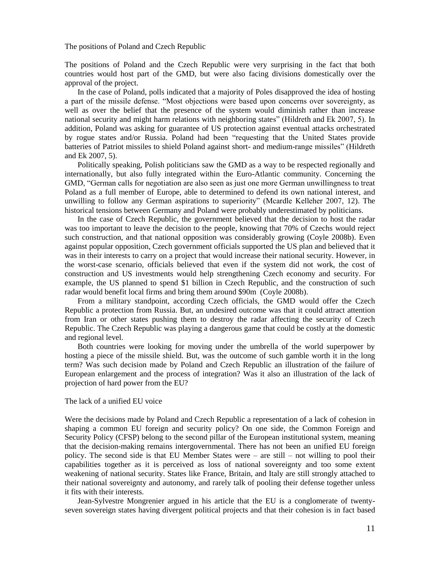The positions of Poland and Czech Republic

The positions of Poland and the Czech Republic were very surprising in the fact that both countries would host part of the GMD, but were also facing divisions domestically over the approval of the project.

In the case of Poland, polls indicated that a majority of Poles disapproved the idea of hosting a part of the missile defense. "Most objections were based upon concerns over sovereignty, as well as over the belief that the presence of the system would diminish rather than increase national security and might harm relations with neighboring states" (Hildreth and Ek 2007, 5). In addition, Poland was asking for guarantee of US protection against eventual attacks orchestrated by rogue states and/or Russia. Poland had been "requesting that the United States provide batteries of Patriot missiles to shield Poland against short- and medium-range missiles" (Hildreth and Ek 2007, 5).

Politically speaking, Polish politicians saw the GMD as a way to be respected regionally and internationally, but also fully integrated within the Euro-Atlantic community. Concerning the GMD, "German calls for negotiation are also seen as just one more German unwillingness to treat Poland as a full member of Europe, able to determined to defend its own national interest, and unwilling to follow any German aspirations to superiority" (Mcardle Kelleher 2007, 12). The historical tensions between Germany and Poland were probably underestimated by politicians.

In the case of Czech Republic, the government believed that the decision to host the radar was too important to leave the decision to the people, knowing that 70% of Czechs would reject such construction, and that national opposition was considerably growing (Coyle 2008b). Even against popular opposition, Czech government officials supported the US plan and believed that it was in their interests to carry on a project that would increase their national security. However, in the worst-case scenario, officials believed that even if the system did not work, the cost of construction and US investments would help strengthening Czech economy and security. For example, the US planned to spend \$1 billion in Czech Republic, and the construction of such radar would benefit local firms and bring them around \$90m (Coyle 2008b).

From a military standpoint, according Czech officials, the GMD would offer the Czech Republic a protection from Russia. But, an undesired outcome was that it could attract attention from Iran or other states pushing them to destroy the radar affecting the security of Czech Republic. The Czech Republic was playing a dangerous game that could be costly at the domestic and regional level.

Both countries were looking for moving under the umbrella of the world superpower by hosting a piece of the missile shield. But, was the outcome of such gamble worth it in the long term? Was such decision made by Poland and Czech Republic an illustration of the failure of European enlargement and the process of integration? Was it also an illustration of the lack of projection of hard power from the EU?

## The lack of a unified EU voice

Were the decisions made by Poland and Czech Republic a representation of a lack of cohesion in shaping a common EU foreign and security policy? On one side, the Common Foreign and Security Policy (CFSP) belong to the second pillar of the European institutional system, meaning that the decision-making remains intergovernmental. There has not been an unified EU foreign policy. The second side is that EU Member States were – are still – not willing to pool their capabilities together as it is perceived as loss of national sovereignty and too some extent weakening of national security. States like France, Britain, and Italy are still strongly attached to their national sovereignty and autonomy, and rarely talk of pooling their defense together unless it fits with their interests.

Jean-Sylvestre Mongrenier argued in his article that the EU is a conglomerate of twentyseven sovereign states having divergent political projects and that their cohesion is in fact based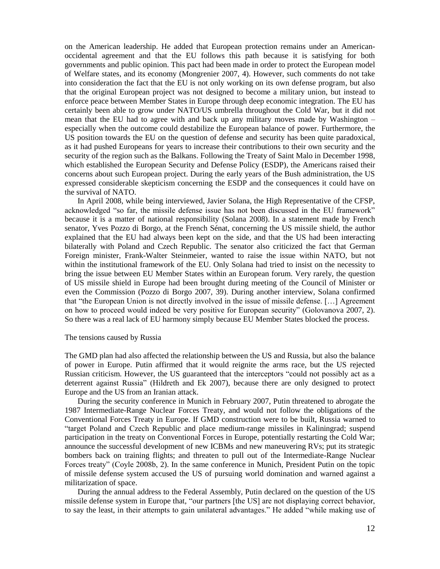on the American leadership. He added that European protection remains under an Americanoccidental agreement and that the EU follows this path because it is satisfying for both governments and public opinion. This pact had been made in order to protect the European model of Welfare states, and its economy (Mongrenier 2007, 4). However, such comments do not take into consideration the fact that the EU is not only working on its own defense program, but also that the original European project was not designed to become a military union, but instead to enforce peace between Member States in Europe through deep economic integration. The EU has certainly been able to grow under NATO/US umbrella throughout the Cold War, but it did not mean that the EU had to agree with and back up any military moves made by Washington – especially when the outcome could destabilize the European balance of power. Furthermore, the US position towards the EU on the question of defense and security has been quite paradoxical, as it had pushed Europeans for years to increase their contributions to their own security and the security of the region such as the Balkans. Following the Treaty of Saint Malo in December 1998, which established the European Security and Defense Policy (ESDP), the Americans raised their concerns about such European project. During the early years of the Bush administration, the US expressed considerable skepticism concerning the ESDP and the consequences it could have on the survival of NATO.

In April 2008, while being interviewed, Javier Solana, the High Representative of the CFSP, acknowledged "so far, the missile defense issue has not been discussed in the EU framework" because it is a matter of national responsibility (Solana 2008). In a statement made by French senator, Yves Pozzo di Borgo, at the French Sénat, concerning the US missile shield, the author explained that the EU had always been kept on the side, and that the US had been interacting bilaterally with Poland and Czech Republic. The senator also criticized the fact that German Foreign minister, Frank-Walter Steinmeier, wanted to raise the issue within NATO, but not within the institutional framework of the EU. Only Solana had tried to insist on the necessity to bring the issue between EU Member States within an European forum. Very rarely, the question of US missile shield in Europe had been brought during meeting of the Council of Minister or even the Commission (Pozzo di Borgo 2007, 39). During another interview, Solana confirmed that "the European Union is not directly involved in the issue of missile defense. […] Agreement on how to proceed would indeed be very positive for European security" (Golovanova 2007, 2). So there was a real lack of EU harmony simply because EU Member States blocked the process.

#### The tensions caused by Russia

The GMD plan had also affected the relationship between the US and Russia, but also the balance of power in Europe. Putin affirmed that it would reignite the arms race, but the US rejected Russian criticism. However, the US guaranteed that the interceptors "could not possibly act as a deterrent against Russia" (Hildreth and Ek 2007), because there are only designed to protect Europe and the US from an Iranian attack.

During the security conference in Munich in February 2007, Putin threatened to abrogate the 1987 Intermediate-Range Nuclear Forces Treaty, and would not follow the obligations of the Conventional Forces Treaty in Europe. If GMD construction were to be built, Russia warned to "target Poland and Czech Republic and place medium-range missiles in Kaliningrad; suspend participation in the treaty on Conventional Forces in Europe, potentially restarting the Cold War; announce the successful development of new ICBMs and new maneuvering RVs; put its strategic bombers back on training flights; and threaten to pull out of the Intermediate-Range Nuclear Forces treaty" (Coyle 2008b, 2). In the same conference in Munich, President Putin on the topic of missile defense system accused the US of pursuing world domination and warned against a militarization of space.

During the annual address to the Federal Assembly, Putin declared on the question of the US missile defense system in Europe that, "our partners [the US] are not displaying correct behavior, to say the least, in their attempts to gain unilateral advantages." He added "while making use of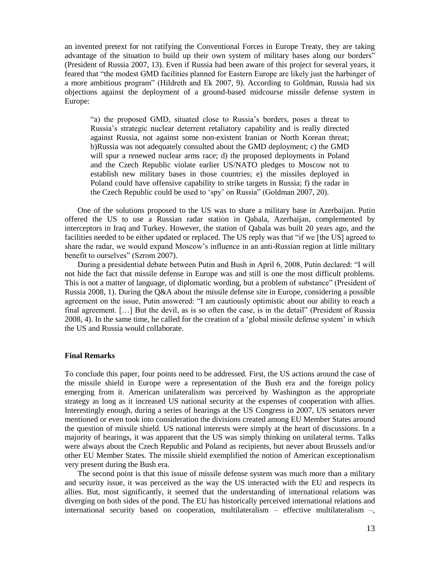an invented pretext for not ratifying the Conventional Forces in Europe Treaty, they are taking advantage of the situation to build up their own system of military bases along our borders" (President of Russia 2007, 13). Even if Russia had been aware of this project for several years, it feared that "the modest GMD facilities planned for Eastern Europe are likely just the harbinger of a more ambitious program" (Hildreth and Ek 2007, 9). According to Goldman, Russia had six objections against the deployment of a ground-based midcourse missile defense system in Europe:

"a) the proposed GMD, situated close to Russia"s borders, poses a threat to Russia"s strategic nuclear deterrent retaliatory capability and is really directed against Russia, not against some non-existent Iranian or North Korean threat; b)Russia was not adequately consulted about the GMD deployment; c) the GMD will spur a renewed nuclear arms race; d) the proposed deployments in Poland and the Czech Republic violate earlier US/NATO pledges to Moscow not to establish new military bases in those countries; e) the missiles deployed in Poland could have offensive capability to strike targets in Russia; f) the radar in the Czech Republic could be used to "spy" on Russia" (Goldman 2007, 20).

One of the solutions proposed to the US was to share a military base in Azerbaijan. Putin offered the US to use a Russian radar station in Qabala, Azerbaijan, complemented by interceptors in Iraq and Turkey. However, the station of Qabala was built 20 years ago, and the facilities needed to be either updated or replaced. The US reply was that "if we [the US] agreed to share the radar, we would expand Moscow"s influence in an anti-Russian region at little military benefit to ourselves" (Szrom 2007).

During a presidential debate between Putin and Bush in April 6, 2008, Putin declared: "I will not hide the fact that missile defense in Europe was and still is one the most difficult problems. This is not a matter of language, of diplomatic wording, but a problem of substance" (President of Russia 2008, 1). During the Q&A about the missile defense site in Europe, considering a possible agreement on the issue, Putin answered: "I am cautiously optimistic about our ability to reach a final agreement. […] But the devil, as is so often the case, is in the detail" (President of Russia 2008, 4). In the same time, he called for the creation of a "global missile defense system" in which the US and Russia would collaborate.

# **Final Remarks**

To conclude this paper, four points need to be addressed. First, the US actions around the case of the missile shield in Europe were a representation of the Bush era and the foreign policy emerging from it. American unilateralism was perceived by Washington as the appropriate strategy as long as it increased US national security at the expenses of cooperation with allies. Interestingly enough, during a series of hearings at the US Congress in 2007, US senators never mentioned or even took into consideration the divisions created among EU Member States around the question of missile shield. US national interests were simply at the heart of discussions. In a majority of hearings, it was apparent that the US was simply thinking on unilateral terms. Talks were always about the Czech Republic and Poland as recipients, but never about Brussels and/or other EU Member States. The missile shield exemplified the notion of American exceptionalism very present during the Bush era.

The second point is that this issue of missile defense system was much more than a military and security issue, it was perceived as the way the US interacted with the EU and respects its allies. But, most significantly, it seemed that the understanding of international relations was diverging on both sides of the pond. The EU has historically perceived international relations and international security based on cooperation, multilateralism – effective multilateralism –,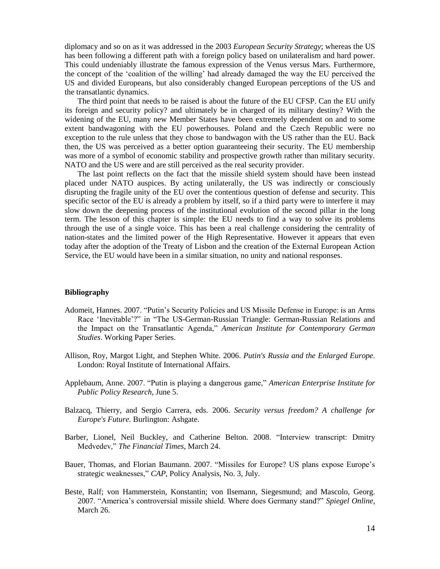diplomacy and so on as it was addressed in the 2003 *European Security Strategy*; whereas the US has been following a different path with a foreign policy based on unilateralism and hard power. This could undeniably illustrate the famous expression of the Venus versus Mars. Furthermore, the concept of the "coalition of the willing" had already damaged the way the EU perceived the US and divided Europeans, but also considerably changed European perceptions of the US and the transatlantic dynamics.

The third point that needs to be raised is about the future of the EU CFSP. Can the EU unify its foreign and security policy? and ultimately be in charged of its military destiny? With the widening of the EU, many new Member States have been extremely dependent on and to some extent bandwagoning with the EU powerhouses. Poland and the Czech Republic were no exception to the rule unless that they chose to bandwagon with the US rather than the EU. Back then, the US was perceived as a better option guaranteeing their security. The EU membership was more of a symbol of economic stability and prospective growth rather than military security. NATO and the US were and are still perceived as the real security provider.

The last point reflects on the fact that the missile shield system should have been instead placed under NATO auspices. By acting unilaterally, the US was indirectly or consciously disrupting the fragile unity of the EU over the contentious question of defense and security. This specific sector of the EU is already a problem by itself, so if a third party were to interfere it may slow down the deepening process of the institutional evolution of the second pillar in the long term. The lesson of this chapter is simple: the EU needs to find a way to solve its problems through the use of a single voice. This has been a real challenge considering the centrality of nation-states and the limited power of the High Representative. However it appears that even today after the adoption of the Treaty of Lisbon and the creation of the External European Action Service, the EU would have been in a similar situation, no unity and national responses.

#### **Bibliography**

- Adomeit, Hannes. 2007. "Putin"s Security Policies and US Missile Defense in Europe: is an Arms Race "Inevitable"?" in "The US-German-Russian Triangle: German-Russian Relations and the Impact on the Transatlantic Agenda," *American Institute for Contemporary German Studies*. Working Paper Series.
- Allison, Roy, Margot Light, and Stephen White. 2006. *Putin's Russia and the Enlarged Europe*. London: Royal Institute of International Affairs.
- Applebaum, Anne. 2007. "Putin is playing a dangerous game," *American Enterprise Institute for Public Policy Research*, June 5.
- Balzacq, Thierry, and Sergio Carrera, eds. 2006. *Security versus freedom? A challenge for Europe's Future*. Burlington: Ashgate.
- Barber, Lionel, Neil Buckley, and Catherine Belton. 2008. "Interview transcript: Dmitry Medvedev," *The Financial Times*, March 24.
- Bauer, Thomas, and Florian Baumann. 2007. "Missiles for Europe? US plans expose Europe"s strategic weaknesses," *CAP*, Policy Analysis, No. 3, July.
- Beste, Ralf; von Hammerstein, Konstantin; von Ilsemann, Siegesmund; and Mascolo, Georg. 2007. "America"s controversial missile shield. Where does Germany stand?" *Spiegel Online*, March 26.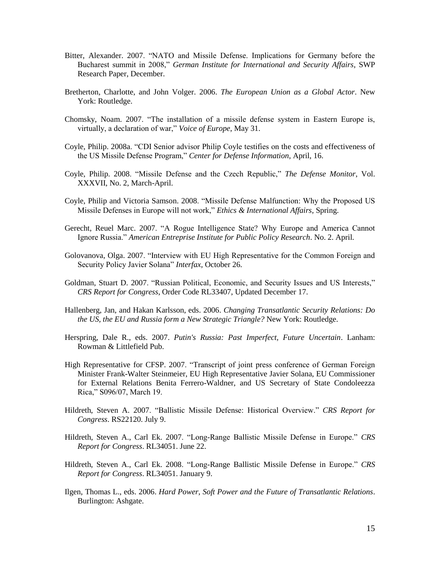- Bitter, Alexander. 2007. "NATO and Missile Defense. Implications for Germany before the Bucharest summit in 2008," *German Institute for International and Security Affairs*, SWP Research Paper, December.
- Bretherton, Charlotte, and John Volger. 2006. *The European Union as a Global Actor*. New York: Routledge.
- Chomsky, Noam. 2007. "The installation of a missile defense system in Eastern Europe is, virtually, a declaration of war," *Voice of Europe*, May 31.
- Coyle, Philip. 2008a. "CDI Senior advisor Philip Coyle testifies on the costs and effectiveness of the US Missile Defense Program," *Center for Defense Information*, April, 16.
- Coyle, Philip. 2008. "Missile Defense and the Czech Republic," *The Defense Monitor*, Vol. XXXVII, No. 2, March-April.
- Coyle, Philip and Victoria Samson. 2008. "Missile Defense Malfunction: Why the Proposed US Missile Defenses in Europe will not work," *Ethics & International Affairs*, Spring.
- Gerecht, Reuel Marc. 2007. "A Rogue Intelligence State? Why Europe and America Cannot Ignore Russia." *American Entreprise Institute for Public Policy Research*. No. 2. April.
- Golovanova, Olga. 2007. "Interview with EU High Representative for the Common Foreign and Security Policy Javier Solana" *Interfax*, October 26.
- Goldman, Stuart D. 2007. "Russian Political, Economic, and Security Issues and US Interests," *CRS Report for Congress*, Order Code RL33407, Updated December 17.
- Hallenberg, Jan, and Hakan Karlsson, eds. 2006. *Changing Transatlantic Security Relations: Do the US, the EU and Russia form a New Strategic Triangle?* New York: Routledge.
- Herspring, Dale R., eds. 2007. *Putin's Russia: Past Imperfect, Future Uncertain*. Lanham: Rowman & Littlefield Pub.
- High Representative for CFSP. 2007. "Transcript of joint press conference of German Foreign Minister Frank-Walter Steinmeier, EU High Representative Javier Solana, EU Commissioner for External Relations Benita Ferrero-Waldner, and US Secretary of State Condoleezza Rica," S096/07, March 19.
- Hildreth, Steven A. 2007. "Ballistic Missile Defense: Historical Overview." *CRS Report for Congress*. RS22120. July 9.
- Hildreth, Steven A., Carl Ek. 2007. "Long-Range Ballistic Missile Defense in Europe." *CRS Report for Congress*. RL34051. June 22.
- Hildreth, Steven A., Carl Ek. 2008. "Long-Range Ballistic Missile Defense in Europe." *CRS Report for Congress*. RL34051. January 9.
- Ilgen, Thomas L., eds. 2006. *Hard Power, Soft Power and the Future of Transatlantic Relations*. Burlington: Ashgate.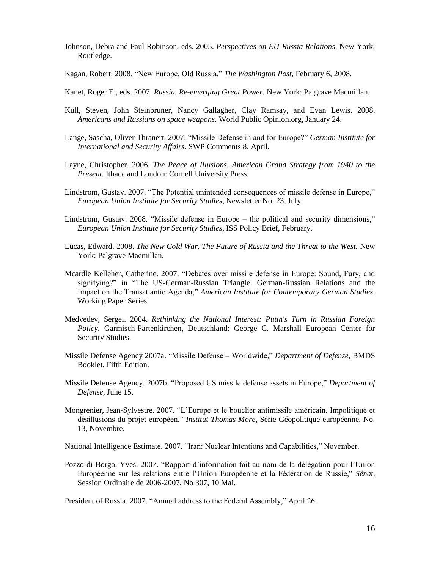- Johnson, Debra and Paul Robinson, eds. 2005. *Perspectives on EU-Russia Relations*. New York: Routledge.
- Kagan, Robert. 2008. "New Europe, Old Russia." *The Washington Post*, February 6, 2008.
- Kanet, Roger E., eds. 2007. *Russia. Re-emerging Great Power.* New York: Palgrave Macmillan.
- Kull, Steven, John Steinbruner, Nancy Gallagher, Clay Ramsay, and Evan Lewis. 2008. *Americans and Russians on space weapons.* World Public Opinion.org, January 24.
- Lange, Sascha, Oliver Thranert. 2007. "Missile Defense in and for Europe?" *German Institute for International and Security Affairs*. SWP Comments 8. April.
- Layne, Christopher. 2006. *The Peace of Illusions. American Grand Strategy from 1940 to the Present*. Ithaca and London: Cornell University Press.
- Lindstrom, Gustav. 2007. "The Potential unintended consequences of missile defense in Europe," *European Union Institute for Security Studies*, Newsletter No. 23, July.
- Lindstrom, Gustav. 2008. "Missile defense in Europe the political and security dimensions," *European Union Institute for Security Studies*, ISS Policy Brief, February.
- Lucas, Edward. 2008. *The New Cold War. The Future of Russia and the Threat to the West.* New York: Palgrave Macmillan.
- Mcardle Kelleher, Catherine. 2007. "Debates over missile defense in Europe: Sound, Fury, and signifying?" in "The US-German-Russian Triangle: German-Russian Relations and the Impact on the Transatlantic Agenda," *American Institute for Contemporary German Studies*. Working Paper Series.
- Medvedev, Sergei. 2004. *Rethinking the National Interest: Putin's Turn in Russian Foreign Policy*. Garmisch-Partenkirchen, Deutschland: George C. Marshall European Center for Security Studies.
- Missile Defense Agency 2007a. "Missile Defense Worldwide," *Department of Defense*, BMDS Booklet, Fifth Edition.
- Missile Defense Agency. 2007b. "Proposed US missile defense assets in Europe," *Department of Defense*, June 15.
- Mongrenier, Jean-Sylvestre. 2007. "L"Europe et le bouclier antimissile américain. Impolitique et désillusions du projet européen." *Institut Thomas More*, Série Géopolitique européenne, No. 13, Novembre.

National Intelligence Estimate. 2007. "Iran: Nuclear Intentions and Capabilities," November.

Pozzo di Borgo, Yves. 2007. "Rapport d"information fait au nom de la délégation pour l"Union Européenne sur les relations entre l"Union Européenne et la Fédération de Russie," *Sénat*, Session Ordinaire de 2006-2007, No 307, 10 Mai.

President of Russia. 2007. "Annual address to the Federal Assembly," April 26.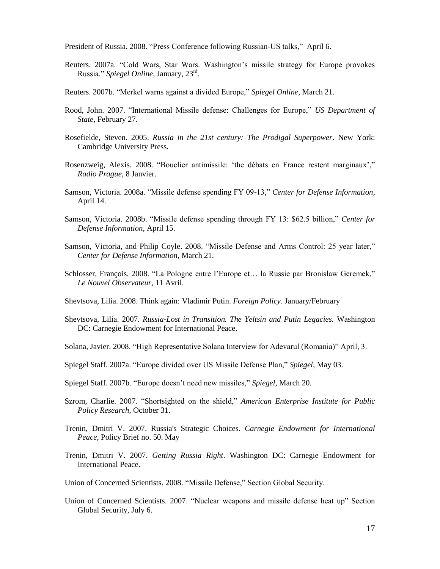President of Russia. 2008. "Press Conference following Russian-US talks," April 6.

- Reuters. 2007a. "Cold Wars, Star Wars. Washington"s missile strategy for Europe provokes Russia." *Spiegel Online*, January, 23rd .
- Reuters. 2007b. "Merkel warns against a divided Europe," *Spiegel Online*, March 21.
- Rood, John. 2007. "International Missile defense: Challenges for Europe," *US Department of State*, February 27.
- Rosefielde, Steven. 2005. *Russia in the 21st century: The Prodigal Superpower*. New York: Cambridge University Press.
- Rosenzweig, Alexis. 2008. "Bouclier antimissile: "the débats en France restent marginaux"," *Radio Prague*, 8 Janvier.
- Samson, Victoria. 2008a. "Missile defense spending FY 09-13," *Center for Defense Information*, April 14.
- Samson, Victoria. 2008b. "Missile defense spending through FY 13: \$62.5 billion," *Center for Defense Information*, April 15.
- Samson, Victoria, and Philip Coyle. 2008. "Missile Defense and Arms Control: 25 year later," *Center for Defense Information*, March 21.
- Schlosser, François. 2008. "La Pologne entre l"Europe et… la Russie par Bronislaw Geremek," *Le Nouvel Observateur*, 11 Avril.
- Shevtsova, Lilia. 2008. Think again: Vladimir Putin. *Foreign Policy*. January/February
- Shevtsova, Lilia. 2007. *Russia-Lost in Transition. The Yeltsin and Putin Legacies.* Washington DC: Carnegie Endowment for International Peace.
- Solana, Javier. 2008. "High Representative Solana Interview for Adevarul (Romania)" April, 3.
- Spiegel Staff. 2007a. "Europe divided over US Missile Defense Plan," *Spiegel*, May 03.
- Spiegel Staff. 2007b. "Europe doesn"t need new missiles," *Spiegel*, March 20.
- Szrom, Charlie. 2007. "Shortsighted on the shield," *American Enterprise Institute for Public Policy Research*, October 31.
- Trenin, Dmitri V. 2007. Russia's Strategic Choices. *Carnegie Endowment for International Peace*, Policy Brief no. 50. May
- Trenin, Dmitri V. 2007. *Getting Russia Right*. Washington DC: Carnegie Endowment for International Peace.

Union of Concerned Scientists. 2008. "Missile Defense," Section Global Security.

Union of Concerned Scientists. 2007. "Nuclear weapons and missile defense heat up" Section Global Security, July 6.